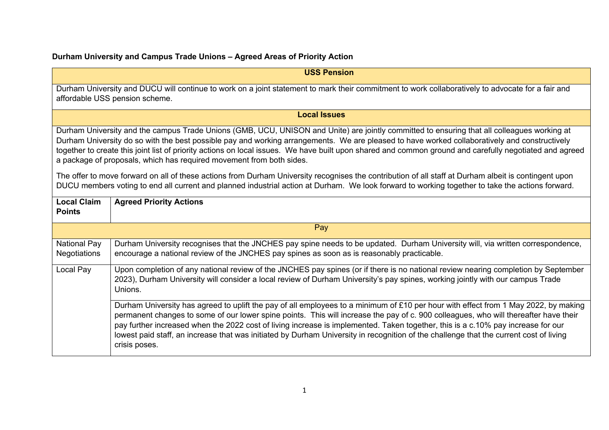## **Durham University and Campus Trade Unions – Agreed Areas of Priority Action**

| <b>USS Pension</b>                                                                                                                                                                                                                                                                                                                                                                                                                                                                                                              |                                                                                                                                                                                                                                                                                                                                                                                                                                                                                                                                                                            |
|---------------------------------------------------------------------------------------------------------------------------------------------------------------------------------------------------------------------------------------------------------------------------------------------------------------------------------------------------------------------------------------------------------------------------------------------------------------------------------------------------------------------------------|----------------------------------------------------------------------------------------------------------------------------------------------------------------------------------------------------------------------------------------------------------------------------------------------------------------------------------------------------------------------------------------------------------------------------------------------------------------------------------------------------------------------------------------------------------------------------|
| Durham University and DUCU will continue to work on a joint statement to mark their commitment to work collaboratively to advocate for a fair and<br>affordable USS pension scheme.                                                                                                                                                                                                                                                                                                                                             |                                                                                                                                                                                                                                                                                                                                                                                                                                                                                                                                                                            |
| <b>Local Issues</b>                                                                                                                                                                                                                                                                                                                                                                                                                                                                                                             |                                                                                                                                                                                                                                                                                                                                                                                                                                                                                                                                                                            |
| Durham University and the campus Trade Unions (GMB, UCU, UNISON and Unite) are jointly committed to ensuring that all colleagues working at<br>Durham University do so with the best possible pay and working arrangements. We are pleased to have worked collaboratively and constructively<br>together to create this joint list of priority actions on local issues. We have built upon shared and common ground and carefully negotiated and agreed<br>a package of proposals, which has required movement from both sides. |                                                                                                                                                                                                                                                                                                                                                                                                                                                                                                                                                                            |
| The offer to move forward on all of these actions from Durham University recognises the contribution of all staff at Durham albeit is contingent upon<br>DUCU members voting to end all current and planned industrial action at Durham. We look forward to working together to take the actions forward.                                                                                                                                                                                                                       |                                                                                                                                                                                                                                                                                                                                                                                                                                                                                                                                                                            |
| <b>Local Claim</b><br><b>Points</b>                                                                                                                                                                                                                                                                                                                                                                                                                                                                                             | <b>Agreed Priority Actions</b>                                                                                                                                                                                                                                                                                                                                                                                                                                                                                                                                             |
|                                                                                                                                                                                                                                                                                                                                                                                                                                                                                                                                 | Pay                                                                                                                                                                                                                                                                                                                                                                                                                                                                                                                                                                        |
| <b>National Pay</b><br><b>Negotiations</b>                                                                                                                                                                                                                                                                                                                                                                                                                                                                                      | Durham University recognises that the JNCHES pay spine needs to be updated. Durham University will, via written correspondence,<br>encourage a national review of the JNCHES pay spines as soon as is reasonably practicable.                                                                                                                                                                                                                                                                                                                                              |
| Local Pay                                                                                                                                                                                                                                                                                                                                                                                                                                                                                                                       | Upon completion of any national review of the JNCHES pay spines (or if there is no national review nearing completion by September<br>2023), Durham University will consider a local review of Durham University's pay spines, working jointly with our campus Trade<br>Unions.                                                                                                                                                                                                                                                                                            |
|                                                                                                                                                                                                                                                                                                                                                                                                                                                                                                                                 | Durham University has agreed to uplift the pay of all employees to a minimum of £10 per hour with effect from 1 May 2022, by making<br>permanent changes to some of our lower spine points. This will increase the pay of c. 900 colleagues, who will thereafter have their<br>pay further increased when the 2022 cost of living increase is implemented. Taken together, this is a c.10% pay increase for our<br>lowest paid staff, an increase that was initiated by Durham University in recognition of the challenge that the current cost of living<br>crisis poses. |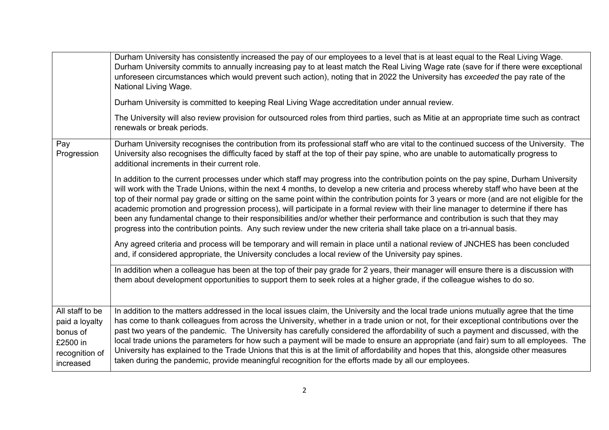|                                                                                          | Durham University has consistently increased the pay of our employees to a level that is at least equal to the Real Living Wage.<br>Durham University commits to annually increasing pay to at least match the Real Living Wage rate (save for if there were exceptional<br>unforeseen circumstances which would prevent such action), noting that in 2022 the University has exceeded the pay rate of the<br>National Living Wage.<br>Durham University is committed to keeping Real Living Wage accreditation under annual review.<br>The University will also review provision for outsourced roles from third parties, such as Mitie at an appropriate time such as contract<br>renewals or break periods.                                                                                                                                                                                                                                                |
|------------------------------------------------------------------------------------------|---------------------------------------------------------------------------------------------------------------------------------------------------------------------------------------------------------------------------------------------------------------------------------------------------------------------------------------------------------------------------------------------------------------------------------------------------------------------------------------------------------------------------------------------------------------------------------------------------------------------------------------------------------------------------------------------------------------------------------------------------------------------------------------------------------------------------------------------------------------------------------------------------------------------------------------------------------------|
| Pay<br>Progression                                                                       | Durham University recognises the contribution from its professional staff who are vital to the continued success of the University. The<br>University also recognises the difficulty faced by staff at the top of their pay spine, who are unable to automatically progress to<br>additional increments in their current role.                                                                                                                                                                                                                                                                                                                                                                                                                                                                                                                                                                                                                                |
|                                                                                          | In addition to the current processes under which staff may progress into the contribution points on the pay spine, Durham University<br>will work with the Trade Unions, within the next 4 months, to develop a new criteria and process whereby staff who have been at the<br>top of their normal pay grade or sitting on the same point within the contribution points for 3 years or more (and are not eligible for the<br>academic promotion and progression process), will participate in a formal review with their line manager to determine if there has<br>been any fundamental change to their responsibilities and/or whether their performance and contribution is such that they may<br>progress into the contribution points. Any such review under the new criteria shall take place on a tri-annual basis.<br>Any agreed criteria and process will be temporary and will remain in place until a national review of JNCHES has been concluded |
|                                                                                          | and, if considered appropriate, the University concludes a local review of the University pay spines.<br>In addition when a colleague has been at the top of their pay grade for 2 years, their manager will ensure there is a discussion with                                                                                                                                                                                                                                                                                                                                                                                                                                                                                                                                                                                                                                                                                                                |
|                                                                                          | them about development opportunities to support them to seek roles at a higher grade, if the colleague wishes to do so.                                                                                                                                                                                                                                                                                                                                                                                                                                                                                                                                                                                                                                                                                                                                                                                                                                       |
| All staff to be<br>paid a loyalty<br>bonus of<br>£2500 in<br>recognition of<br>increased | In addition to the matters addressed in the local issues claim, the University and the local trade unions mutually agree that the time<br>has come to thank colleagues from across the University, whether in a trade union or not, for their exceptional contributions over the<br>past two years of the pandemic. The University has carefully considered the affordability of such a payment and discussed, with the<br>local trade unions the parameters for how such a payment will be made to ensure an appropriate (and fair) sum to all employees. The<br>University has explained to the Trade Unions that this is at the limit of affordability and hopes that this, alongside other measures<br>taken during the pandemic, provide meaningful recognition for the efforts made by all our employees.                                                                                                                                               |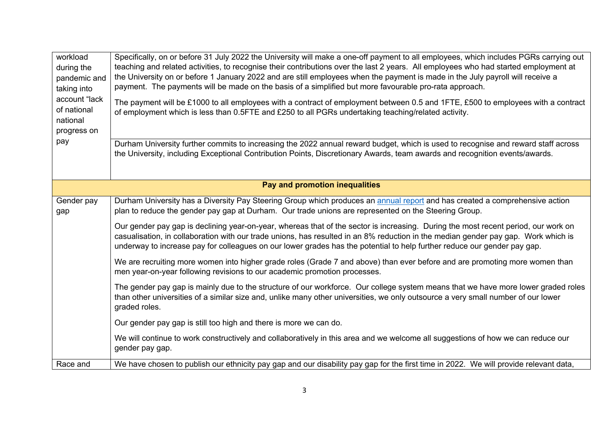| workload<br>during the<br>pandemic and<br>taking into<br>account "lack<br>of national<br>national | Specifically, on or before 31 July 2022 the University will make a one-off payment to all employees, which includes PGRs carrying out<br>teaching and related activities, to recognise their contributions over the last 2 years. All employees who had started employment at<br>the University on or before 1 January 2022 and are still employees when the payment is made in the July payroll will receive a<br>payment. The payments will be made on the basis of a simplified but more favourable pro-rata approach.<br>The payment will be £1000 to all employees with a contract of employment between 0.5 and 1FTE, £500 to employees with a contract<br>of employment which is less than 0.5FTE and £250 to all PGRs undertaking teaching/related activity. |
|---------------------------------------------------------------------------------------------------|----------------------------------------------------------------------------------------------------------------------------------------------------------------------------------------------------------------------------------------------------------------------------------------------------------------------------------------------------------------------------------------------------------------------------------------------------------------------------------------------------------------------------------------------------------------------------------------------------------------------------------------------------------------------------------------------------------------------------------------------------------------------|
| progress on<br>pay                                                                                | Durham University further commits to increasing the 2022 annual reward budget, which is used to recognise and reward staff across<br>the University, including Exceptional Contribution Points, Discretionary Awards, team awards and recognition events/awards.                                                                                                                                                                                                                                                                                                                                                                                                                                                                                                     |
| Pay and promotion inequalities                                                                    |                                                                                                                                                                                                                                                                                                                                                                                                                                                                                                                                                                                                                                                                                                                                                                      |
| Gender pay<br>gap                                                                                 | Durham University has a Diversity Pay Steering Group which produces an annual report and has created a comprehensive action<br>plan to reduce the gender pay gap at Durham. Our trade unions are represented on the Steering Group.                                                                                                                                                                                                                                                                                                                                                                                                                                                                                                                                  |
|                                                                                                   | Our gender pay gap is declining year-on-year, whereas that of the sector is increasing. During the most recent period, our work on<br>casualisation, in collaboration with our trade unions, has resulted in an 8% reduction in the median gender pay gap. Work which is<br>underway to increase pay for colleagues on our lower grades has the potential to help further reduce our gender pay gap.                                                                                                                                                                                                                                                                                                                                                                 |
|                                                                                                   | We are recruiting more women into higher grade roles (Grade 7 and above) than ever before and are promoting more women than<br>men year-on-year following revisions to our academic promotion processes.                                                                                                                                                                                                                                                                                                                                                                                                                                                                                                                                                             |
|                                                                                                   | The gender pay gap is mainly due to the structure of our workforce. Our college system means that we have more lower graded roles<br>than other universities of a similar size and, unlike many other universities, we only outsource a very small number of our lower<br>graded roles.                                                                                                                                                                                                                                                                                                                                                                                                                                                                              |
|                                                                                                   | Our gender pay gap is still too high and there is more we can do.                                                                                                                                                                                                                                                                                                                                                                                                                                                                                                                                                                                                                                                                                                    |
|                                                                                                   | We will continue to work constructively and collaboratively in this area and we welcome all suggestions of how we can reduce our<br>gender pay gap.                                                                                                                                                                                                                                                                                                                                                                                                                                                                                                                                                                                                                  |
| Race and                                                                                          | We have chosen to publish our ethnicity pay gap and our disability pay gap for the first time in 2022. We will provide relevant data,                                                                                                                                                                                                                                                                                                                                                                                                                                                                                                                                                                                                                                |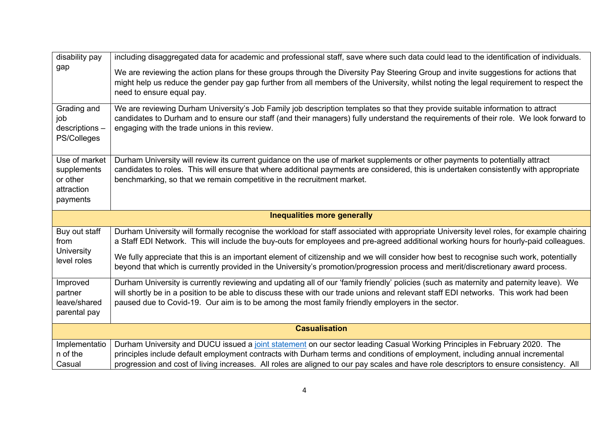| disability pay                                                     | including disaggregated data for academic and professional staff, save where such data could lead to the identification of individuals.                                                                                                                                                                                                                                                                                                                                                                                                                          |
|--------------------------------------------------------------------|------------------------------------------------------------------------------------------------------------------------------------------------------------------------------------------------------------------------------------------------------------------------------------------------------------------------------------------------------------------------------------------------------------------------------------------------------------------------------------------------------------------------------------------------------------------|
| gap                                                                | We are reviewing the action plans for these groups through the Diversity Pay Steering Group and invite suggestions for actions that<br>might help us reduce the gender pay gap further from all members of the University, whilst noting the legal requirement to respect the<br>need to ensure equal pay.                                                                                                                                                                                                                                                       |
| Grading and<br>job<br>descriptions -<br>PS/Colleges                | We are reviewing Durham University's Job Family job description templates so that they provide suitable information to attract<br>candidates to Durham and to ensure our staff (and their managers) fully understand the requirements of their role. We look forward to<br>engaging with the trade unions in this review.                                                                                                                                                                                                                                        |
| Use of market<br>supplements<br>or other<br>attraction<br>payments | Durham University will review its current guidance on the use of market supplements or other payments to potentially attract<br>candidates to roles. This will ensure that where additional payments are considered, this is undertaken consistently with appropriate<br>benchmarking, so that we remain competitive in the recruitment market.                                                                                                                                                                                                                  |
|                                                                    | <b>Inequalities more generally</b>                                                                                                                                                                                                                                                                                                                                                                                                                                                                                                                               |
|                                                                    |                                                                                                                                                                                                                                                                                                                                                                                                                                                                                                                                                                  |
| Buy out staff<br>from<br>University<br>level roles                 | Durham University will formally recognise the workload for staff associated with appropriate University level roles, for example chairing<br>a Staff EDI Network. This will include the buy-outs for employees and pre-agreed additional working hours for hourly-paid colleagues.<br>We fully appreciate that this is an important element of citizenship and we will consider how best to recognise such work, potentially<br>beyond that which is currently provided in the University's promotion/progression process and merit/discretionary award process. |
| Improved<br>partner<br>leave/shared<br>parental pay                | Durham University is currently reviewing and updating all of our 'family friendly' policies (such as maternity and paternity leave). We<br>will shortly be in a position to be able to discuss these with our trade unions and relevant staff EDI networks. This work had been<br>paused due to Covid-19. Our aim is to be among the most family friendly employers in the sector.                                                                                                                                                                               |
|                                                                    | <b>Casualisation</b>                                                                                                                                                                                                                                                                                                                                                                                                                                                                                                                                             |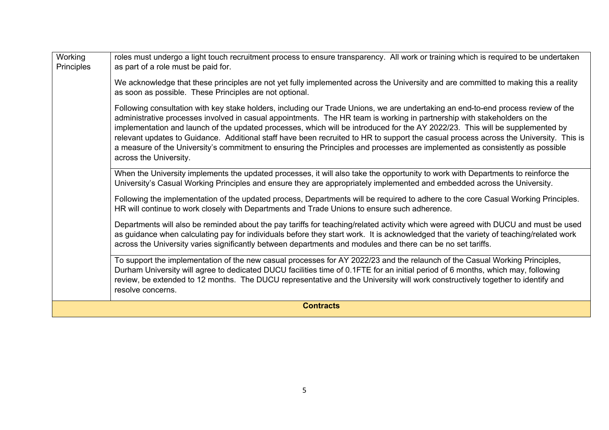| Working<br>Principles | roles must undergo a light touch recruitment process to ensure transparency. All work or training which is required to be undertaken<br>as part of a role must be paid for.                                                                                                                                                                                                                                                                                                                                                                                                                                                                                                                        |  |
|-----------------------|----------------------------------------------------------------------------------------------------------------------------------------------------------------------------------------------------------------------------------------------------------------------------------------------------------------------------------------------------------------------------------------------------------------------------------------------------------------------------------------------------------------------------------------------------------------------------------------------------------------------------------------------------------------------------------------------------|--|
|                       | We acknowledge that these principles are not yet fully implemented across the University and are committed to making this a reality<br>as soon as possible. These Principles are not optional.                                                                                                                                                                                                                                                                                                                                                                                                                                                                                                     |  |
|                       | Following consultation with key stake holders, including our Trade Unions, we are undertaking an end-to-end process review of the<br>administrative processes involved in casual appointments. The HR team is working in partnership with stakeholders on the<br>implementation and launch of the updated processes, which will be introduced for the AY 2022/23. This will be supplemented by<br>relevant updates to Guidance. Additional staff have been recruited to HR to support the casual process across the University. This is<br>a measure of the University's commitment to ensuring the Principles and processes are implemented as consistently as possible<br>across the University. |  |
|                       | When the University implements the updated processes, it will also take the opportunity to work with Departments to reinforce the<br>University's Casual Working Principles and ensure they are appropriately implemented and embedded across the University.                                                                                                                                                                                                                                                                                                                                                                                                                                      |  |
|                       | Following the implementation of the updated process, Departments will be required to adhere to the core Casual Working Principles.<br>HR will continue to work closely with Departments and Trade Unions to ensure such adherence.                                                                                                                                                                                                                                                                                                                                                                                                                                                                 |  |
|                       | Departments will also be reminded about the pay tariffs for teaching/related activity which were agreed with DUCU and must be used<br>as guidance when calculating pay for individuals before they start work. It is acknowledged that the variety of teaching/related work<br>across the University varies significantly between departments and modules and there can be no set tariffs.                                                                                                                                                                                                                                                                                                         |  |
|                       | To support the implementation of the new casual processes for AY 2022/23 and the relaunch of the Casual Working Principles,<br>Durham University will agree to dedicated DUCU facilities time of 0.1FTE for an initial period of 6 months, which may, following<br>review, be extended to 12 months. The DUCU representative and the University will work constructively together to identify and<br>resolve concerns.                                                                                                                                                                                                                                                                             |  |
| <b>Contracts</b>      |                                                                                                                                                                                                                                                                                                                                                                                                                                                                                                                                                                                                                                                                                                    |  |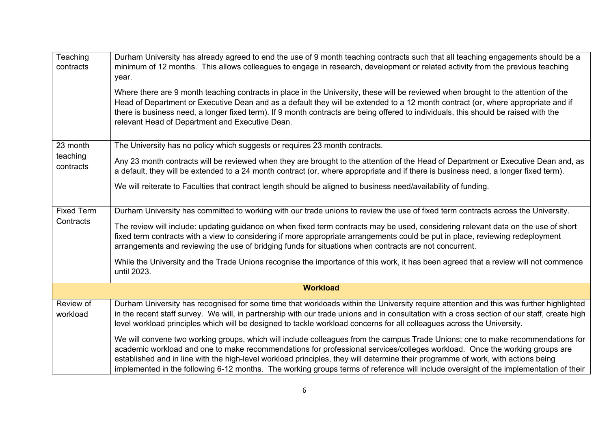| Teaching<br>contracts | Durham University has already agreed to end the use of 9 month teaching contracts such that all teaching engagements should be a<br>minimum of 12 months. This allows colleagues to engage in research, development or related activity from the previous teaching<br>year.                                                                                                                                                                                                                                                                |
|-----------------------|--------------------------------------------------------------------------------------------------------------------------------------------------------------------------------------------------------------------------------------------------------------------------------------------------------------------------------------------------------------------------------------------------------------------------------------------------------------------------------------------------------------------------------------------|
|                       | Where there are 9 month teaching contracts in place in the University, these will be reviewed when brought to the attention of the<br>Head of Department or Executive Dean and as a default they will be extended to a 12 month contract (or, where appropriate and if<br>there is business need, a longer fixed term). If 9 month contracts are being offered to individuals, this should be raised with the<br>relevant Head of Department and Executive Dean.                                                                           |
| 23 month              | The University has no policy which suggests or requires 23 month contracts.                                                                                                                                                                                                                                                                                                                                                                                                                                                                |
| teaching<br>contracts | Any 23 month contracts will be reviewed when they are brought to the attention of the Head of Department or Executive Dean and, as<br>a default, they will be extended to a 24 month contract (or, where appropriate and if there is business need, a longer fixed term).                                                                                                                                                                                                                                                                  |
|                       | We will reiterate to Faculties that contract length should be aligned to business need/availability of funding.                                                                                                                                                                                                                                                                                                                                                                                                                            |
| <b>Fixed Term</b>     | Durham University has committed to working with our trade unions to review the use of fixed term contracts across the University.                                                                                                                                                                                                                                                                                                                                                                                                          |
| Contracts             | The review will include: updating guidance on when fixed term contracts may be used, considering relevant data on the use of short<br>fixed term contracts with a view to considering if more appropriate arrangements could be put in place, reviewing redeployment<br>arrangements and reviewing the use of bridging funds for situations when contracts are not concurrent.                                                                                                                                                             |
|                       | While the University and the Trade Unions recognise the importance of this work, it has been agreed that a review will not commence<br>until 2023.                                                                                                                                                                                                                                                                                                                                                                                         |
|                       | <b>Workload</b>                                                                                                                                                                                                                                                                                                                                                                                                                                                                                                                            |
| Review of<br>workload | Durham University has recognised for some time that workloads within the University require attention and this was further highlighted<br>in the recent staff survey. We will, in partnership with our trade unions and in consultation with a cross section of our staff, create high<br>level workload principles which will be designed to tackle workload concerns for all colleagues across the University.                                                                                                                           |
|                       | We will convene two working groups, which will include colleagues from the campus Trade Unions; one to make recommendations for<br>academic workload and one to make recommendations for professional services/colleges workload. Once the working groups are<br>established and in line with the high-level workload principles, they will determine their programme of work, with actions being<br>implemented in the following 6-12 months. The working groups terms of reference will include oversight of the implementation of their |